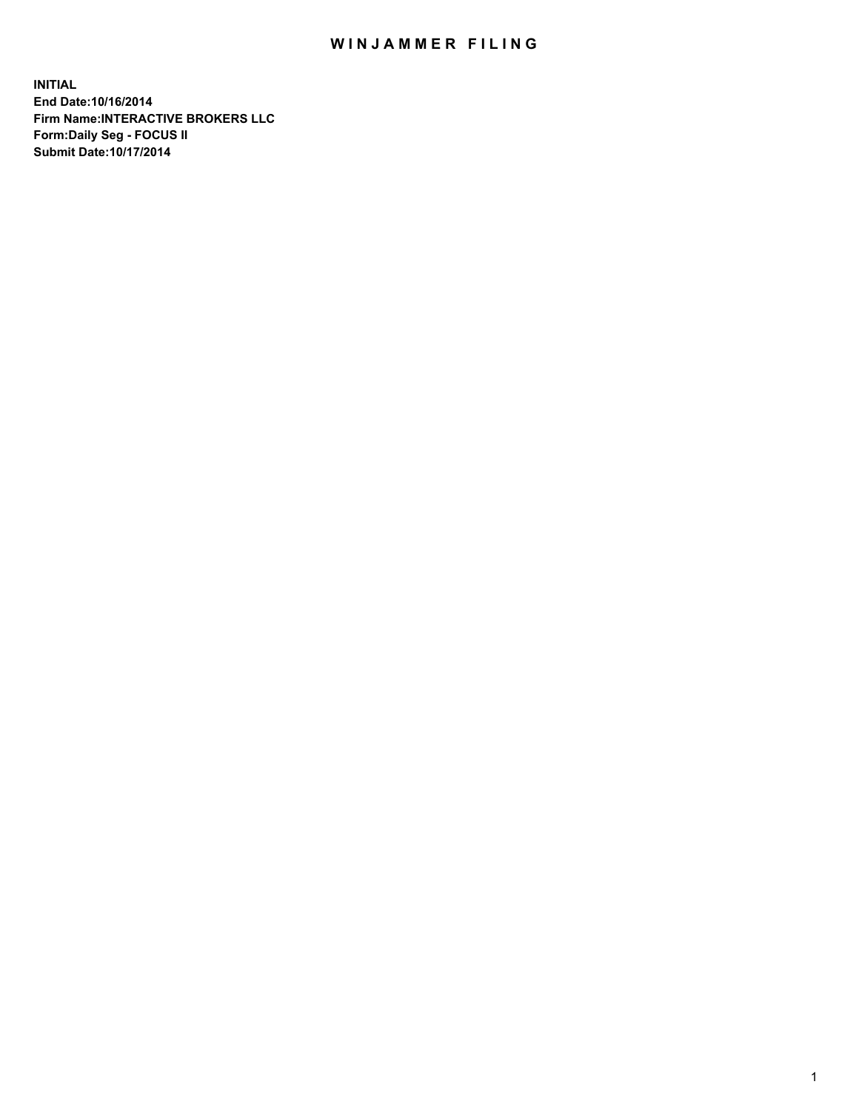## WIN JAMMER FILING

**INITIAL End Date:10/16/2014 Firm Name:INTERACTIVE BROKERS LLC Form:Daily Seg - FOCUS II Submit Date:10/17/2014**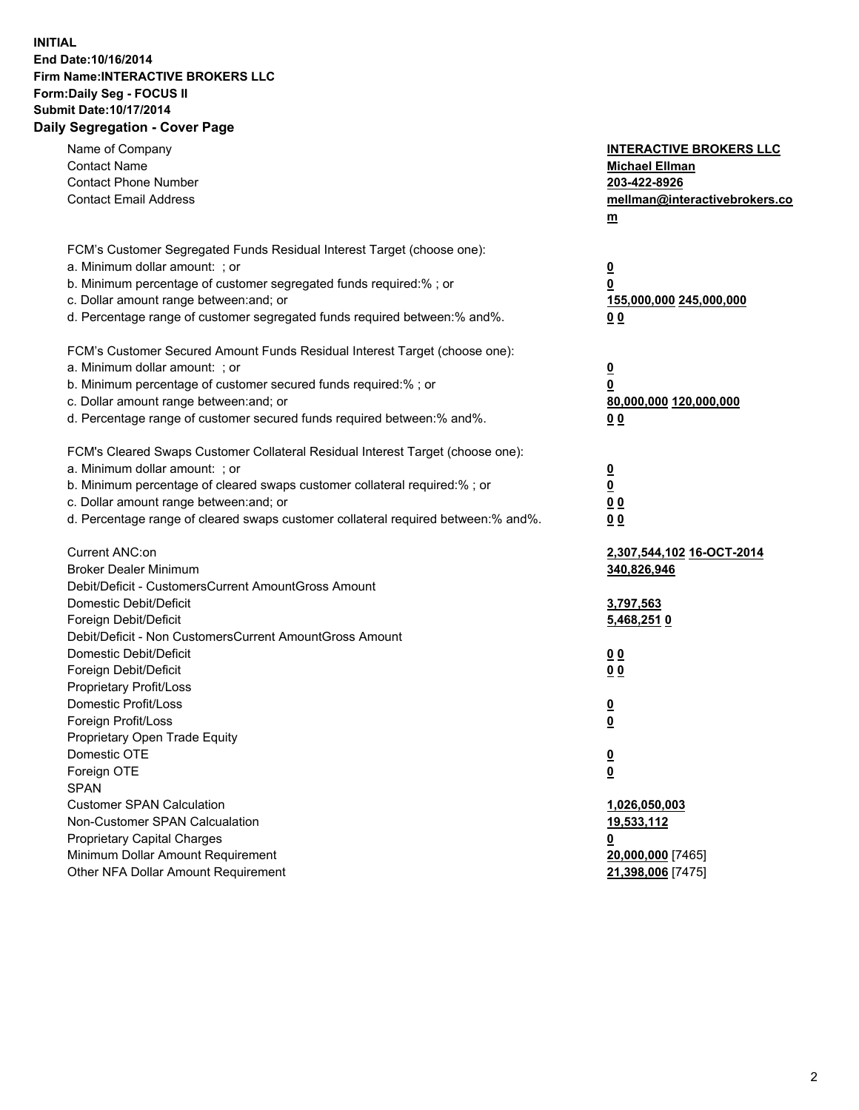## **INITIAL End Date:10/16/2014 Firm Name:INTERACTIVE BROKERS LLC Form:Daily Seg - FOCUS II Submit Date:10/17/2014 Daily Segregation - Cover Page**

| Name of Company<br><b>Contact Name</b><br><b>Contact Phone Number</b><br><b>Contact Email Address</b>                                                                                                                                                                                                                          | <b>INTERACTIVE BROKERS LLC</b><br><b>Michael Ellman</b><br>203-422-8926<br>mellman@interactivebrokers.co<br>$\underline{\mathbf{m}}$ |
|--------------------------------------------------------------------------------------------------------------------------------------------------------------------------------------------------------------------------------------------------------------------------------------------------------------------------------|--------------------------------------------------------------------------------------------------------------------------------------|
| FCM's Customer Segregated Funds Residual Interest Target (choose one):<br>a. Minimum dollar amount: ; or<br>b. Minimum percentage of customer segregated funds required:% ; or<br>c. Dollar amount range between: and; or<br>d. Percentage range of customer segregated funds required between:% and%.                         | <u>0</u><br>0<br><u>155,000,000 245,000,000</u><br>00                                                                                |
| FCM's Customer Secured Amount Funds Residual Interest Target (choose one):<br>a. Minimum dollar amount: ; or<br>b. Minimum percentage of customer secured funds required:% ; or<br>c. Dollar amount range between: and; or<br>d. Percentage range of customer secured funds required between:% and%.                           | <u>0</u><br>0<br>80,000,000 120,000,000<br>0 <sub>0</sub>                                                                            |
| FCM's Cleared Swaps Customer Collateral Residual Interest Target (choose one):<br>a. Minimum dollar amount: ; or<br>b. Minimum percentage of cleared swaps customer collateral required:% ; or<br>c. Dollar amount range between: and; or<br>d. Percentage range of cleared swaps customer collateral required between:% and%. | $\overline{\mathbf{0}}$<br>0<br>0 <sub>0</sub><br>0 <sub>0</sub>                                                                     |
| Current ANC:on<br><b>Broker Dealer Minimum</b><br>Debit/Deficit - CustomersCurrent AmountGross Amount<br>Domestic Debit/Deficit<br>Foreign Debit/Deficit                                                                                                                                                                       | 2,307,544,102 16-OCT-2014<br>340,826,946<br>3,797,563<br>5,468,2510                                                                  |
| Debit/Deficit - Non CustomersCurrent AmountGross Amount<br>Domestic Debit/Deficit<br>Foreign Debit/Deficit<br>Proprietary Profit/Loss<br>Domestic Profit/Loss<br>Foreign Profit/Loss                                                                                                                                           | 0 <sub>0</sub><br>0 <sub>0</sub><br><u>0</u>                                                                                         |
| Proprietary Open Trade Equity<br>Domestic OTE<br>Foreign OTE<br><b>SPAN</b><br><b>Customer SPAN Calculation</b>                                                                                                                                                                                                                | $\underline{\mathbf{0}}$<br><u>0</u><br><u>0</u><br>1,026,050,003                                                                    |
| Non-Customer SPAN Calcualation<br><b>Proprietary Capital Charges</b><br>Minimum Dollar Amount Requirement<br>Other NFA Dollar Amount Requirement                                                                                                                                                                               | <u>19,533,112</u><br><u>0</u><br>20,000,000 [7465]<br>21,398,006 [7475]                                                              |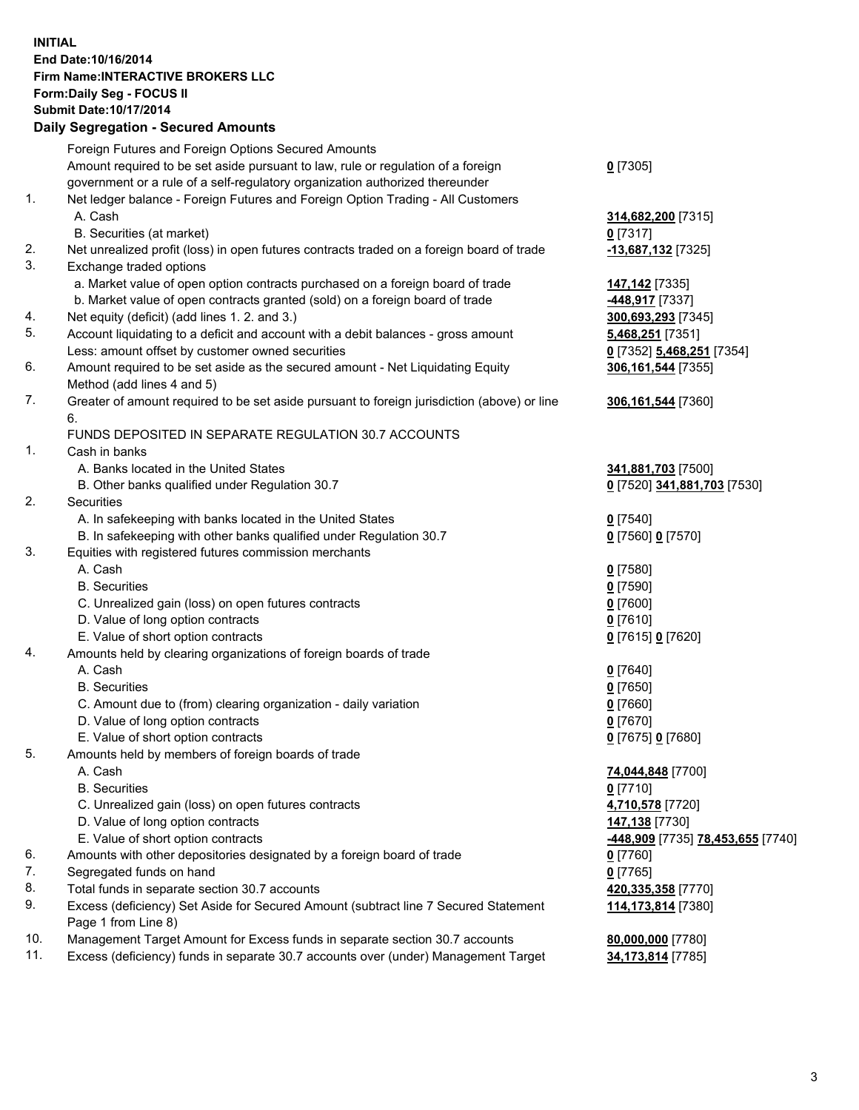## **INITIAL End Date:10/16/2014 Firm Name:INTERACTIVE BROKERS LLC Form:Daily Seg - FOCUS II Submit Date:10/17/2014 Daily Segregation - Secured Amounts**

|     | Dany Ocgregation - Oceanea Annoanta                                                                        |                                                |
|-----|------------------------------------------------------------------------------------------------------------|------------------------------------------------|
|     | Foreign Futures and Foreign Options Secured Amounts                                                        |                                                |
|     | Amount required to be set aside pursuant to law, rule or regulation of a foreign                           | $0$ [7305]                                     |
|     | government or a rule of a self-regulatory organization authorized thereunder                               |                                                |
| 1.  | Net ledger balance - Foreign Futures and Foreign Option Trading - All Customers                            |                                                |
|     | A. Cash                                                                                                    | 314,682,200 [7315]                             |
|     | B. Securities (at market)                                                                                  | $0$ [7317]                                     |
| 2.  | Net unrealized profit (loss) in open futures contracts traded on a foreign board of trade                  | -13,687,132 [7325]                             |
| 3.  | Exchange traded options                                                                                    |                                                |
|     | a. Market value of open option contracts purchased on a foreign board of trade                             | 147,142 <sub>[7335]</sub>                      |
|     | b. Market value of open contracts granted (sold) on a foreign board of trade                               | -448,917 [7337]                                |
| 4.  | Net equity (deficit) (add lines 1.2. and 3.)                                                               | 300,693,293 [7345]                             |
| 5.  | Account liquidating to a deficit and account with a debit balances - gross amount                          | 5,468,251 [7351]                               |
|     | Less: amount offset by customer owned securities                                                           | 0 [7352] 5,468,251 [7354]                      |
| 6.  | Amount required to be set aside as the secured amount - Net Liquidating Equity                             | 306,161,544 [7355]                             |
|     | Method (add lines 4 and 5)                                                                                 |                                                |
| 7.  | Greater of amount required to be set aside pursuant to foreign jurisdiction (above) or line                | 306,161,544 [7360]                             |
|     | 6.                                                                                                         |                                                |
|     | FUNDS DEPOSITED IN SEPARATE REGULATION 30.7 ACCOUNTS                                                       |                                                |
| 1.  | Cash in banks                                                                                              |                                                |
|     | A. Banks located in the United States                                                                      | 341,881,703 [7500]                             |
|     | B. Other banks qualified under Regulation 30.7                                                             | 0 [7520] 341,881,703 [7530]                    |
| 2.  | Securities                                                                                                 |                                                |
|     | A. In safekeeping with banks located in the United States                                                  | $0$ [7540]                                     |
|     | B. In safekeeping with other banks qualified under Regulation 30.7                                         | 0 [7560] 0 [7570]                              |
| 3.  | Equities with registered futures commission merchants                                                      |                                                |
|     | A. Cash                                                                                                    | $0$ [7580]                                     |
|     | <b>B.</b> Securities                                                                                       | $0$ [7590]                                     |
|     | C. Unrealized gain (loss) on open futures contracts                                                        | $0$ [7600]                                     |
|     | D. Value of long option contracts                                                                          | $0$ [7610]                                     |
|     | E. Value of short option contracts                                                                         | 0 [7615] 0 [7620]                              |
| 4.  | Amounts held by clearing organizations of foreign boards of trade                                          |                                                |
|     | A. Cash                                                                                                    | $0$ [7640]                                     |
|     | <b>B.</b> Securities                                                                                       | $0$ [7650]                                     |
|     | C. Amount due to (from) clearing organization - daily variation                                            | $0$ [7660]                                     |
|     | D. Value of long option contracts                                                                          | $0$ [7670]                                     |
|     | E. Value of short option contracts                                                                         | 0 [7675] 0 [7680]                              |
| 5.  | Amounts held by members of foreign boards of trade                                                         |                                                |
|     | A. Cash                                                                                                    | 74,044,848 [7700]                              |
|     | <b>B.</b> Securities                                                                                       | $0$ [7710]                                     |
|     | C. Unrealized gain (loss) on open futures contracts                                                        | 4,710,578 [7720]                               |
|     | D. Value of long option contracts                                                                          | 147,138 [7730]                                 |
|     | E. Value of short option contracts                                                                         | <mark>-448,909</mark> [7735] 78,453,655 [7740] |
| 6.  | Amounts with other depositories designated by a foreign board of trade                                     | 0 [7760]                                       |
| 7.  | Segregated funds on hand                                                                                   | $0$ [7765]                                     |
| 8.  | Total funds in separate section 30.7 accounts                                                              | 420,335,358 [7770]                             |
| 9.  | Excess (deficiency) Set Aside for Secured Amount (subtract line 7 Secured Statement<br>Page 1 from Line 8) | 114,173,814 [7380]                             |
| 10. | Management Target Amount for Excess funds in separate section 30.7 accounts                                | 80,000,000 [7780]                              |
| 11. | Excess (deficiency) funds in separate 30.7 accounts over (under) Management Target                         | 34,173,814 [7785]                              |
|     |                                                                                                            |                                                |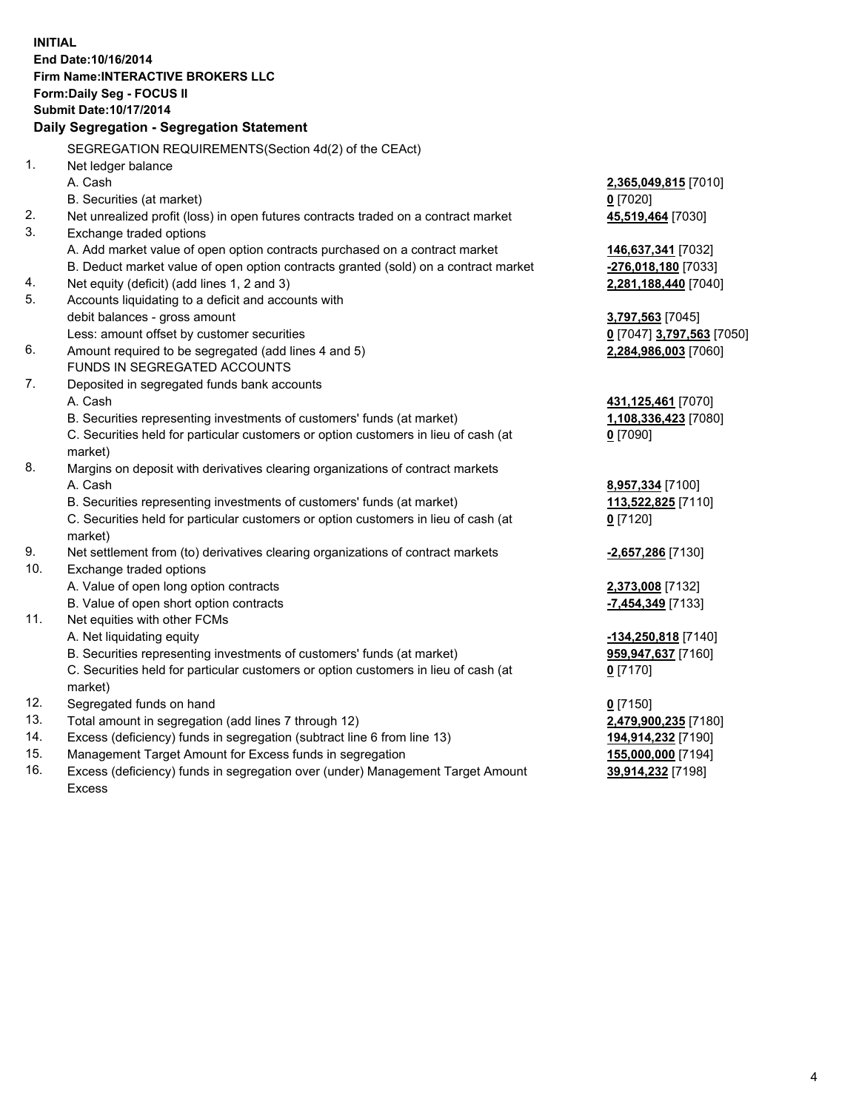**INITIAL End Date:10/16/2014 Firm Name:INTERACTIVE BROKERS LLC Form:Daily Seg - FOCUS II Submit Date:10/17/2014 Daily Segregation - Segregation Statement** SEGREGATION REQUIREMENTS(Section 4d(2) of the CEAct) 1. Net ledger balance A. Cash **2,365,049,815** [7010] B. Securities (at market) **0** [7020] 2. Net unrealized profit (loss) in open futures contracts traded on a contract market **45,519,464** [7030] 3. Exchange traded options A. Add market value of open option contracts purchased on a contract market **146,637,341** [7032] B. Deduct market value of open option contracts granted (sold) on a contract market **-276,018,180** [7033] 4. Net equity (deficit) (add lines 1, 2 and 3) **2,281,188,440** [7040] 5. Accounts liquidating to a deficit and accounts with debit balances - gross amount **3,797,563** [7045] Less: amount offset by customer securities **0** [7047] **3,797,563** [7050] 6. Amount required to be segregated (add lines 4 and 5) **2,284,986,003** [7060] FUNDS IN SEGREGATED ACCOUNTS 7. Deposited in segregated funds bank accounts A. Cash **431,125,461** [7070] B. Securities representing investments of customers' funds (at market) **1,108,336,423** [7080] C. Securities held for particular customers or option customers in lieu of cash (at market) **0** [7090] 8. Margins on deposit with derivatives clearing organizations of contract markets A. Cash **8,957,334** [7100] B. Securities representing investments of customers' funds (at market) **113,522,825** [7110] C. Securities held for particular customers or option customers in lieu of cash (at market) **0** [7120] 9. Net settlement from (to) derivatives clearing organizations of contract markets **-2,657,286** [7130] 10. Exchange traded options A. Value of open long option contracts **2,373,008** [7132] B. Value of open short option contracts **-7,454,349** [7133] 11. Net equities with other FCMs A. Net liquidating equity **-134,250,818** [7140] B. Securities representing investments of customers' funds (at market) **959,947,637** [7160] C. Securities held for particular customers or option customers in lieu of cash (at market) **0** [7170] 12. Segregated funds on hand **0** [7150] 13. Total amount in segregation (add lines 7 through 12) **2,479,900,235** [7180] 14. Excess (deficiency) funds in segregation (subtract line 6 from line 13) **194,914,232** [7190] 15. Management Target Amount for Excess funds in segregation **155,000,000** [7194]

16. Excess (deficiency) funds in segregation over (under) Management Target Amount Excess

**39,914,232** [7198]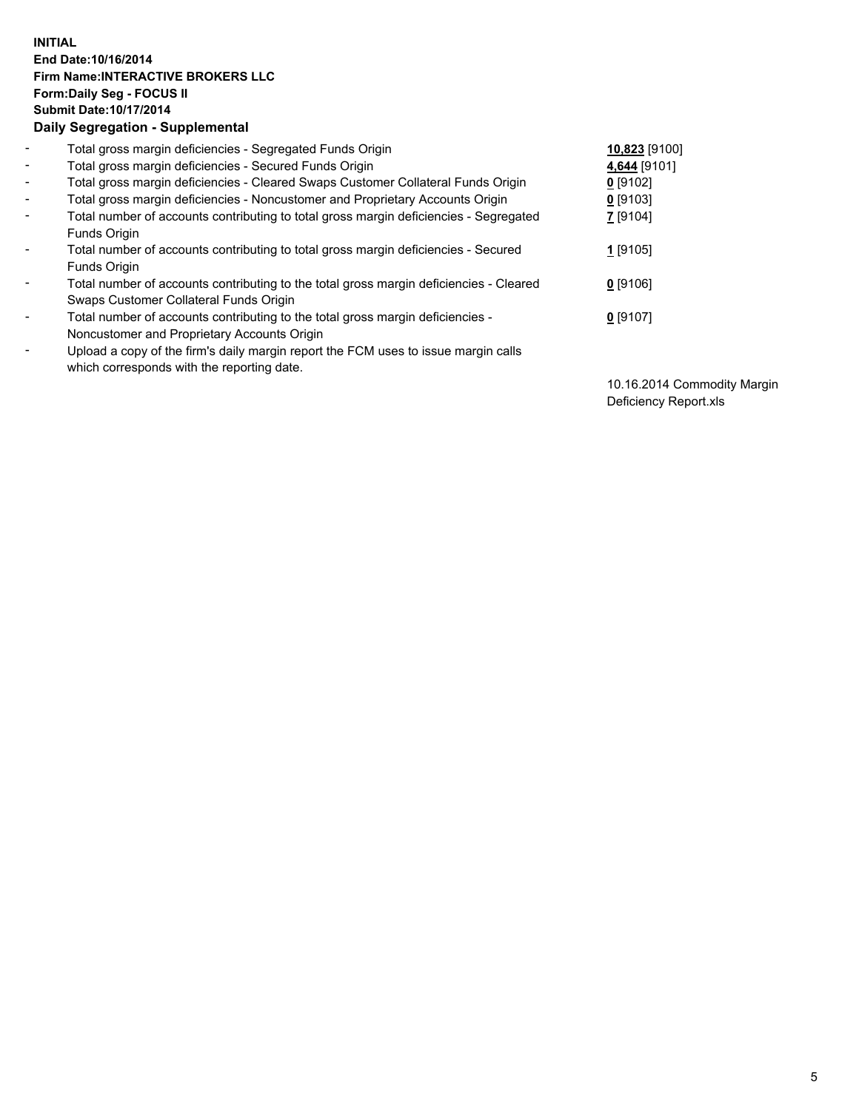## **INITIAL End Date:10/16/2014 Firm Name:INTERACTIVE BROKERS LLC Form:Daily Seg - FOCUS II Submit Date:10/17/2014 Daily Segregation - Supplemental**

| $\blacksquare$           | Total gross margin deficiencies - Segregated Funds Origin                              | 10,823 [9100] |
|--------------------------|----------------------------------------------------------------------------------------|---------------|
| $\blacksquare$           | Total gross margin deficiencies - Secured Funds Origin                                 | 4,644 [9101]  |
| $\blacksquare$           | Total gross margin deficiencies - Cleared Swaps Customer Collateral Funds Origin       | $0$ [9102]    |
| $\blacksquare$           | Total gross margin deficiencies - Noncustomer and Proprietary Accounts Origin          | $0$ [9103]    |
| $\blacksquare$           | Total number of accounts contributing to total gross margin deficiencies - Segregated  | 7 [9104]      |
|                          | <b>Funds Origin</b>                                                                    |               |
| $\blacksquare$           | Total number of accounts contributing to total gross margin deficiencies - Secured     | $1$ [9105]    |
|                          | <b>Funds Origin</b>                                                                    |               |
| $\blacksquare$           | Total number of accounts contributing to the total gross margin deficiencies - Cleared | $0$ [9106]    |
|                          | Swaps Customer Collateral Funds Origin                                                 |               |
| $\blacksquare$           | Total number of accounts contributing to the total gross margin deficiencies -         | $0$ [9107]    |
|                          | Noncustomer and Proprietary Accounts Origin                                            |               |
| $\overline{\phantom{a}}$ | Upload a copy of the firm's daily margin report the FCM uses to issue margin calls     |               |
|                          | which corresponds with the reporting date.                                             |               |

10.16.2014 Commodity Margin Deficiency Report.xls